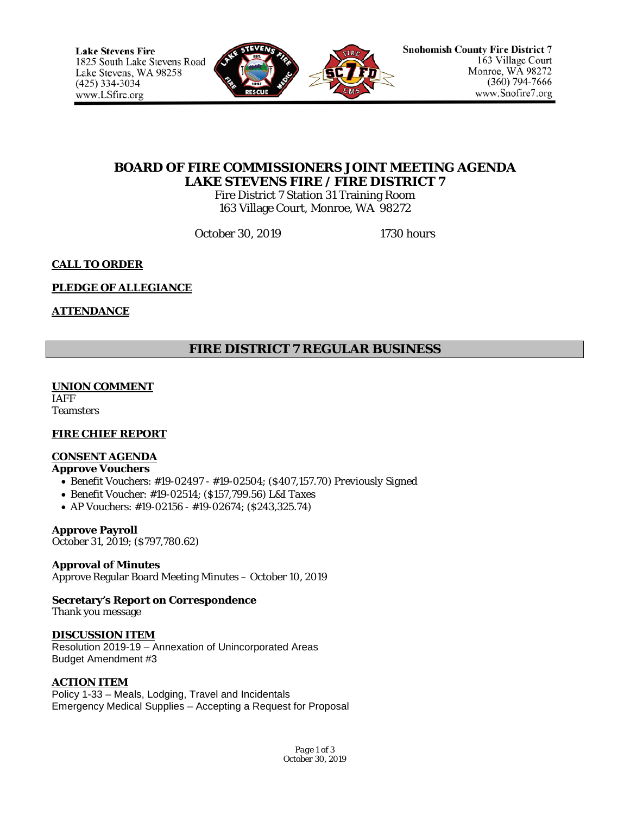

# **BOARD OF FIRE COMMISSIONERS JOINT MEETING AGENDA LAKE STEVENS FIRE / FIRE DISTRICT 7**

Fire District 7 Station 31 Training Room 163 Village Court, Monroe, WA 98272

October 30, 2019 1730 hours

# **CALL TO ORDER**

## **PLEDGE OF ALLEGIANCE**

## **ATTENDANCE**

# **FIRE DISTRICT 7 REGULAR BUSINESS**

#### **UNION COMMENT**

IAFF **Teamsters** 

## **FIRE CHIEF REPORT**

# **CONSENT AGENDA**

# **Approve Vouchers**

- Benefit Vouchers: #19-02497 #19-02504; (\$407,157.70) *Previously Signed*
- Benefit Voucher: #19-02514; (\$157,799.56) *L&I Taxes*
- AP Vouchers: #19-02156 #19-02674; (\$243,325.74)

#### **Approve Payroll**

October 31, 2019; (\$797,780.62)

## **Approval of Minutes**

Approve Regular Board Meeting Minutes – October 10, 2019

# **Secretary's Report on Correspondence**

Thank you message

## **DISCUSSION ITEM**

Resolution 2019-19 – Annexation of Unincorporated Areas Budget Amendment #3

## **ACTION ITEM**

Policy 1-33 – Meals, Lodging, Travel and Incidentals Emergency Medical Supplies – Accepting a Request for Proposal

> *Page 1 of 3 October 30, 2019*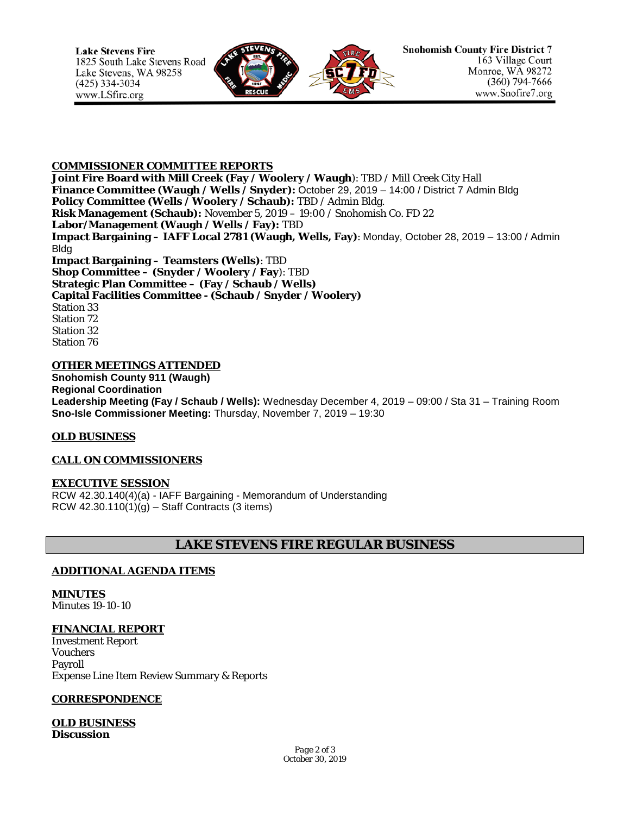

#### **COMMISSIONER COMMITTEE REPORTS**

**Joint Fire Board with Mill Creek (Fay / Woolery / Waugh**): TBD / Mill Creek City Hall **Finance Committee (Waugh / Wells / Snyder):** October 29, 2019 – 14:00 / District 7 Admin Bldg **Policy Committee (Wells / Woolery / Schaub):** TBD / Admin Bldg. **Risk Management (Schaub):** November 5, 2019 – 19:00 / Snohomish Co. FD 22 **Labor/Management (Waugh / Wells / Fay):** TBD **Impact Bargaining – IAFF Local 2781 (Waugh, Wells, Fay)**: Monday, October 28, 2019 – 13:00 / Admin Bldg **Impact Bargaining – Teamsters (Wells)**: TBD **Shop Committee – (Snyder / Woolery / Fay**): TBD **Strategic Plan Committee – (Fay / Schaub / Wells) Capital Facilities Committee - (Schaub / Snyder / Woolery)** Station 33 Station 72 Station 32 Station 76

## **OTHER MEETINGS ATTENDED**

**Snohomish County 911 (Waugh) Regional Coordination Leadership Meeting (Fay / Schaub / Wells):** Wednesday December 4, 2019 – 09:00 / Sta 31 – Training Room **Sno-Isle Commissioner Meeting:** Thursday, November 7, 2019 – 19:30

#### **OLD BUSINESS**

## **CALL ON COMMISSIONERS**

## **EXECUTIVE SESSION**

RCW 42.30.140(4)(a) - IAFF Bargaining - Memorandum of Understanding RCW  $42.30.110(1)(g) -$  Staff Contracts (3 items)

# **LAKE STEVENS FIRE REGULAR BUSINESS**

#### **ADDITIONAL AGENDA ITEMS**

**MINUTES** Minutes 19-10-10

#### **FINANCIAL REPORT**

Investment Report Vouchers Payroll Expense Line Item Review Summary & Reports

#### **CORRESPONDENCE**

**OLD BUSINESS Discussion**